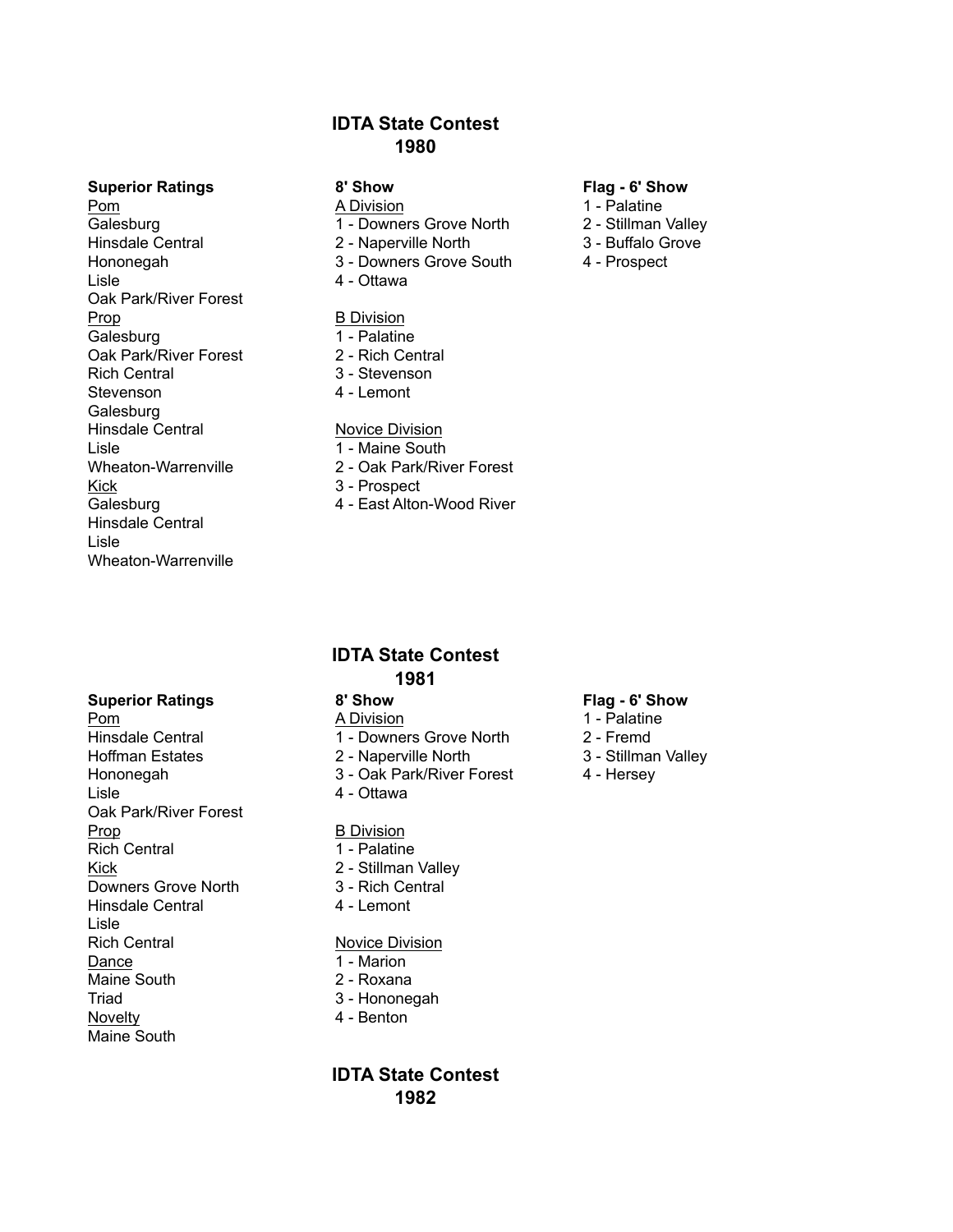# **IDTA State Contest 1980**

## **Superior Ratings 8' Show Flag - 6' Show**

Pom 1 - Palatine<br>
Galesburg 1 - Cowners Grove North 2 - Stillman Hinsdale Central 2 - Naperville North 3 - Buffalo Grove Hononegah 3 - Downers Grove South 4 - Prospect Lisle 4 - Ottawa Oak Park/River Forest Prop B Division Galesburg 1 - Palatine Oak Park/River Forest 2 - Rich Central Rich Central 3 - Stevenson Stevenson **4** - Lemont Galesburg Hinsdale Central Novice Division Lisle 1 - Maine South Kick 3 - Prospect Hinsdale Central Lisle Wheaton-Warrenville

- 
- 1 Downers Grove North 2 Stillman Valley
- 
- 
- 

- 
- 
- 
- 

- 
- Wheaton-Warrenville 2 Oak Park/River Forest
	-
- Galesburg **4** East Alton-Wood River

- 
- 
- 
- 

- 
- Hinsdale Central 1 Downers Grove North 2 Fremd

**IDTA State Contest 1981**

- 
- 
- 

- 
- 
- 
- 

- 
- 
- 
- 

# **IDTA State Contest 1982**

## **Superior Ratings 8' Show Flag - 6' Show**

- 
- 
- 
- 

Pom A Division A Division 1 - Palatine

Hoffman Estates 2 - Naperville North 3 - Stillman Valley Hononegah 3 - Oak Park/River Forest 4 - Hersey Lisle 4 - Ottawa Oak Park/River Forest Prop B Division Rich Central 1 - Palatine Kick 2 - Stillman Valley Downers Grove North 3 - Rich Central Hinsdale Central 4 - Lemont Lisle Rich Central Novice Division Dance 1 - Marion Maine South 2 - Roxana Triad 3 - Hononegah Novelty **4** - Benton Maine South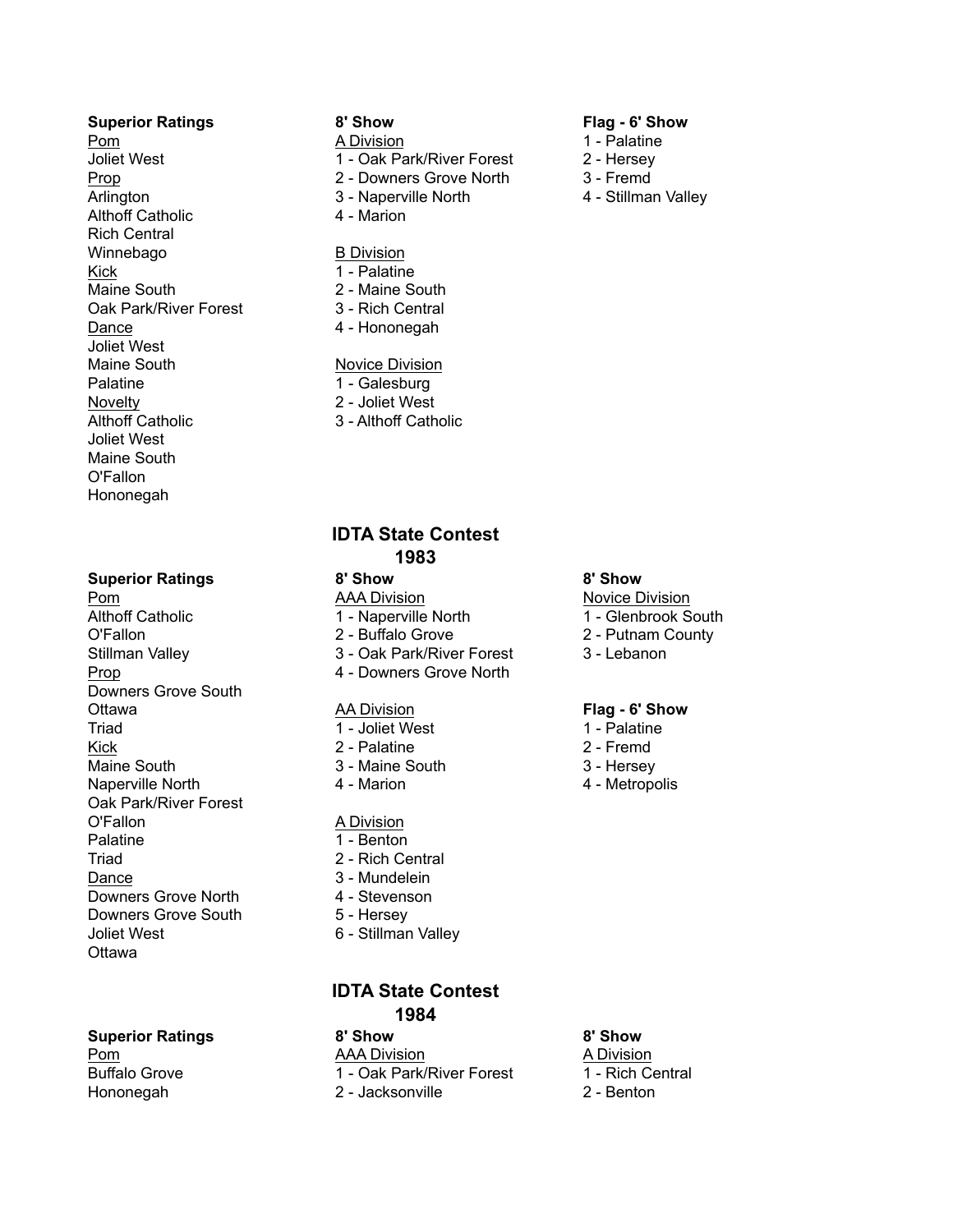## **Superior Ratings 8' Show Flag - 6' Show**

Pom 1 - Palatine 1 - Palatine 1 - Palatine 1 - Palatine Joliet West 1 - Oak Park/River Forest 2 - Hersey Prop 2 - Downers Grove North 3 - Fremd Arlington 3 - Naperville North 4 - Stillman Valley Althoff Catholic 4 - Marion Rich Central Winnebago B Division Kick 1 - Palatine Maine South 2 - Maine South Oak Park/River Forest 3 - Rich Central Dance 4 - Hononegah Joliet West Maine South Novice Division Palatine 1 - Galesburg Novelty 2 - Joliet West Althoff Catholic 3 - Althoff Catholic Joliet West Maine South O'Fallon Hononegah

## **Superior Ratings 8' Show 8' Show**

**Pom AAA Division AAA Division Novice Division** Althoff Catholic 1 - Naperville North 1 - Glenbrook South O'Fallon 2 - Buffalo Grove 2 - Putnam County Stillman Valley **3 - Oak Park/River Forest** 3 - Lebanon Prop 4 - Downers Grove North Downers Grove South Ottawa AA Division **Flag - 6' Show** Triad 1 - Joliet West 1 - Palatine Kick 2 - Palatine 2 - Fremd Maine South 3 - Maine South 3 - Mexico 3 - Hersey Naperville North **4** - Marion **4** - Marion **4** - Metropolis Oak Park/River Forest O'Fallon **A Division** Palatine 1 - Benton Triad 2 - Rich Central Dance 3 - Mundelein Downers Grove North 4 - Stevenson Downers Grove South 5 - Hersey Joliet West 6 - Stillman Valley **Ottawa** 

**Superior Ratings 8' Show 8' Show**

- 
- 
- 
- 
- 

- 
- 
- 
- 

- 
- 
- 

## **IDTA State Contest 1983**

- 
- 
- 
- 
- 

- 
- 
- 
- 

- 
- 
- 
- 
- 

## **IDTA State Contest 1984**

Pom AAA Division A Division Buffalo Grove 1 - Oak Park/River Forest 1 - Rich Central Hononegah 2 - Jacksonville 2 - Benton

- 
- 
- 
- 

- 
- 
- 

- 
- 
- 
-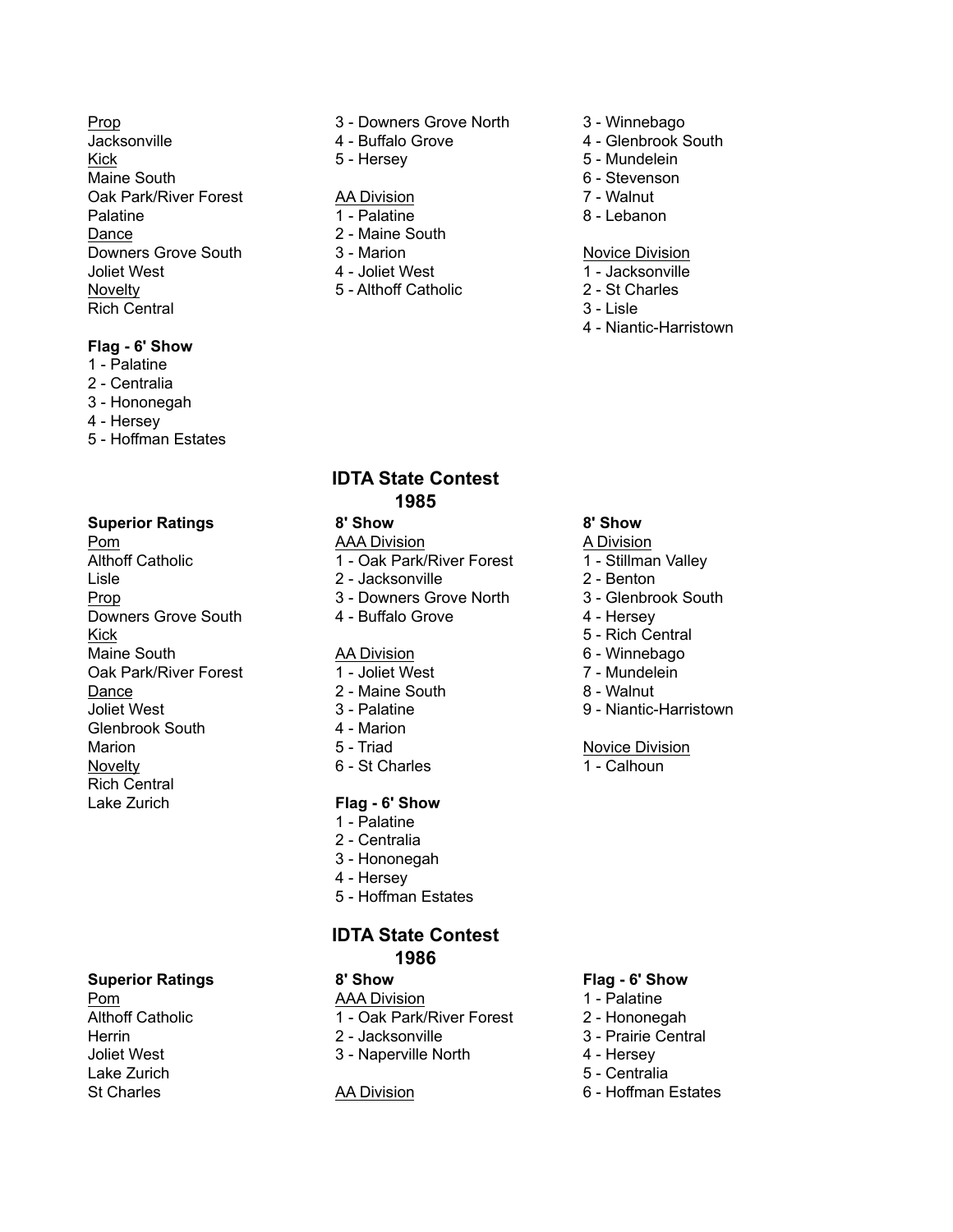Jacksonville 4 - Buffalo Grove 4 - Glenbrook South Kick 5 - Hersey 5 - Mundelein Maine South 6 - Stevenson Communication Communication Communication Communication Communication Communication Communication Communication Communication Communication Communication Communication Communication Communication Oak Park/River Forest AA Division 7 - Walnut Palatine 1 - Palatine 1 - Palatine 8 - Lebanon Dance 2 - Maine South Downers Grove South 3 - Marion 3 - Marion Novice Division Joliet West 4 - Joliet West 1 - Jacksonville Novelty 5 - Althoff Catholic 2 - St Charles Rich Central 3 - Lisle

## **Flag - 6' Show**

- 1 Palatine
- 2 Centralia
- 3 Hononegah
- 4 Hersey
- 5 Hoffman Estates

# **Superior Ratings 8' Show 8' Show**

Pom AAA Division A Division Althoff Catholic 1 - Oak Park/River Forest 1 - Stillman Valley Lisle 2 - Jacksonville 2 - Benton Prop 3 - Downers Grove North 3 - Glenbrook South Downers Grove South 4 - Buffalo Grove 4 - Hersey Kick 5 - Rich Central Maine South **AA Division** 6 - Winnebago **AA Division** 6 - Winnebago Oak Park/River Forest 1 - Joliet West 7 - Mundelein Dance 2 - Maine South 8 - Walnut Joliet West 3 - Palatine 9 - Niantic-Harristown Glenbrook South 4 - Marion Marion 5 - Triad Novice Division Novelty 6 - St Charles 1 - Calhoun Rich Central Lake Zurich **Flag - 6' Show**

Herrin 2 - Jacksonville 3 - Prairie Central Lake Zurich 5 - Centralia

## Prop 3 - Downers Grove North 3 - Winnebago

- 
- 

- 
- 
- 
- 
- 
- 

- 
- 
- 
- 
- 

- 
- 
- 
- 4 Niantic-Harristown

# **IDTA State Contest 1985**

- 
- 
- 
- 
- 

- 
- 
- 
- 
- 
- 

- 1 Palatine
- 2 Centralia
- 3 Hononegah
- 4 Hersey
- 5 Hoffman Estates

## **IDTA State Contest 1986**

- Pom **AAA Division** 2 1 Palatine
- Althoff Catholic **1 Oak Park/River Forest** 2 Hononegah
	-
- Joliet West 3 Naperville North 4 Hersey

## **Superior Ratings 8' Show Flag - 6' Show**

- 
- 
- 
- 
- 
- St Charles **AA Division** 6 Hoffman Estates

- 
- 
- 
- 
- 
- 
- 
- 
-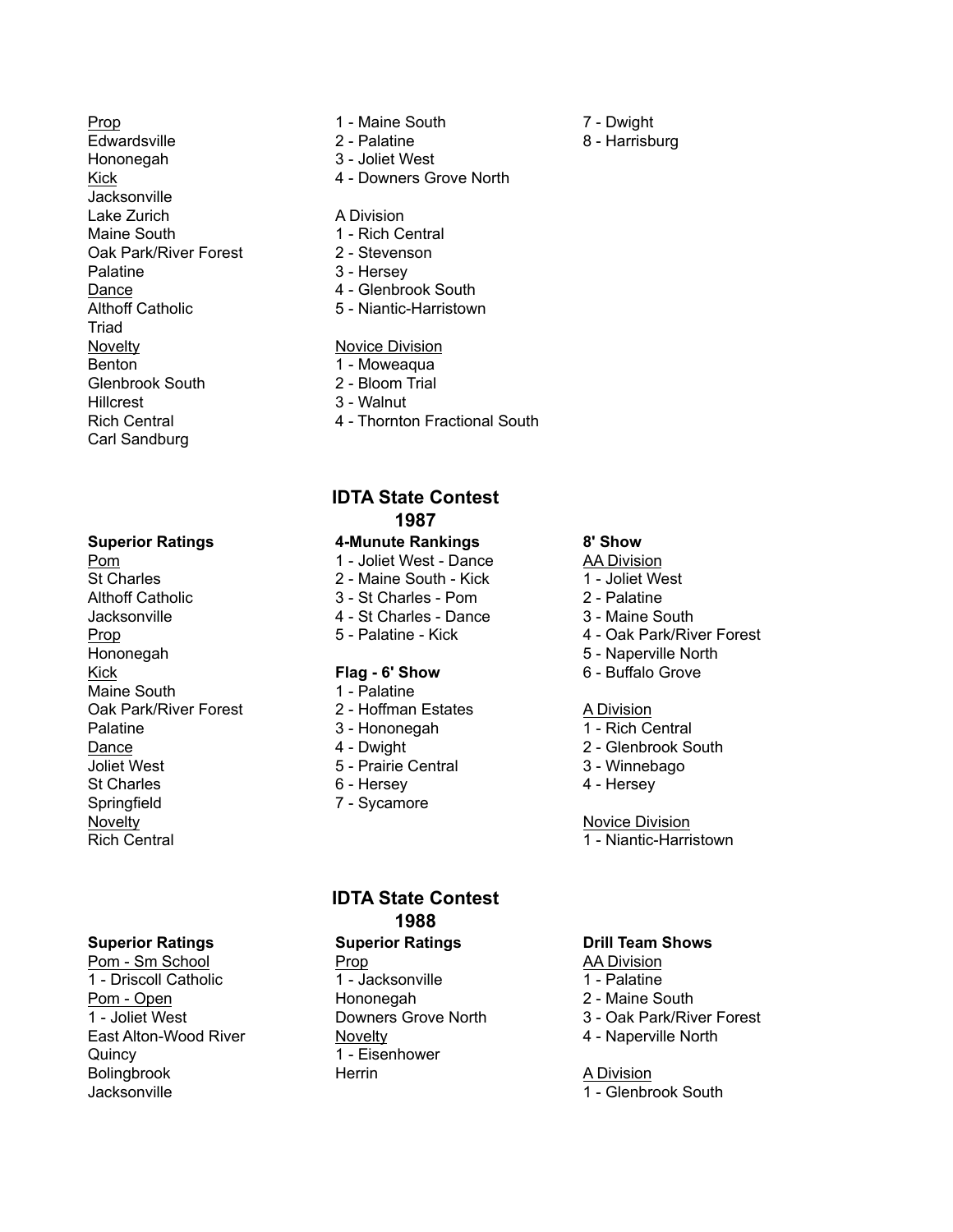Prop 2.1 - Maine South 7 - Dwight Edwardsville 2 - Palatine 2 - Palatine 8 - Harrisburg Hononegah 3 - Joliet West **Jacksonville** Lake Zurich **A Division** Maine South 1 - Rich Central Oak Park/River Forest 2 - Stevenson Palatine 3 - Hersey<br>Dance 3 - 4 - Glenbro Althoff Catholic 5 - Niantic-Harristown Triad Novelty **Novice** Division Benton 1 - Moweaqua Glenbrook South 2 - Bloom Trial Hillcrest 3 - Walnut Carl Sandburg

## **Superior Ratings 4-Munute Rankings 8' Show**

Pom 1 - Joliet West - Dance AA Division<br>St Charles 2 - Maine South - Kick 1 - Joliet We Althoff Catholic 3 - St Charles - Pom 2 - Palatine Jacksonville 4 - St Charles - Dance 3 - Maine South Hononegah 5 - Naperville North Kick **Flag - 6' Show** 6 - Buffalo Grove Maine South 1 - Palatine Oak Park/River Forest 2 - Hoffman Estates A Division Palatine 3 - Hononegah 1 - Rich Central Dance 2 - Clembrook South 2 - Dwight 2 - Glenbrook South Joliet West 5 - Prairie Central 3 - Winnebago St Charles **6 - Hersey 6 - Hersey 3** - Hersey Springfield 7 - Sycamore Novelty **Novice Division** Rich Central 1 - Niantic-Harristown

## **Superior Ratings Superior Ratings Drill Team Shows**

1 - Driscoll Catholic 1 - Jacksonville 1 - Palatine Pom - Open Hononegah 2 - Maine South 1 - Joliet West Downers Grove North 3 - Oak Park/River Forest East Alton-Wood River Novelty 4 - Naperville North Quincy 1 - Eisenhower Bolingbrook **Herrin** Herrin A Division Jacksonville 1 - Glenbrook South 1 - Glenbrook South

- 
- 
- 
- Kick 4 Downers Grove North

- 
- 
- 
- 4 Glenbrook South
- 

- 
- 
- 
- 

# **IDTA State Contest 1987**

- 
- 2 Maine South Kick 1 Joliet West
- 
- 
- 

- 
- 
- 
- 
- 
- 
- 

## **IDTA State Contest 1988**

Pom - Sm School **Prop** Prop **AA Division** 

- 
- 

- 
- 

- 
- 
- 
- Rich Central 4 Thornton Fractional South

- 
- 
- 
- 
- Prop 5 Palatine Kick 4 Oak Park/River Forest
	-
	-

- 
- 
- 
- 

- 
- 
- 
- 
-